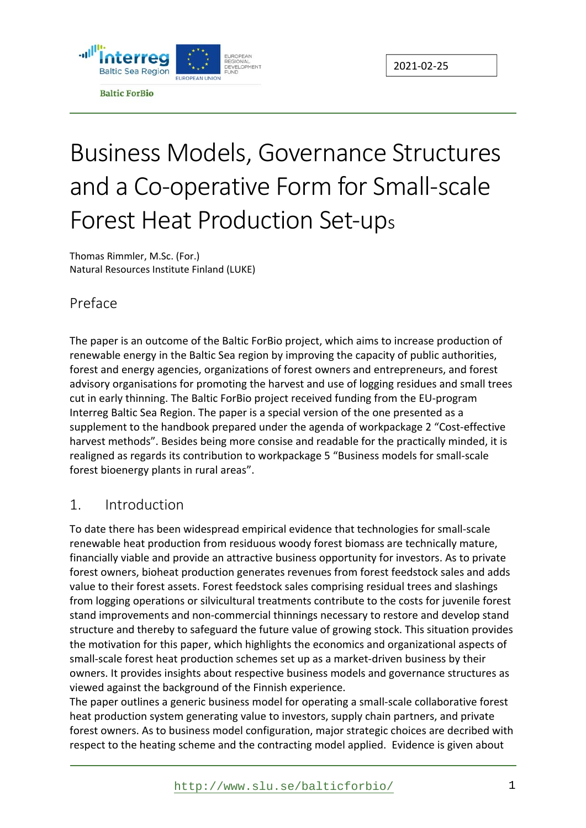

# Business Models, Governance Structures and a Co-operative Form for Small-scale Forest Heat Production Set-ups

Thomas Rimmler, M.Sc. (For.) Natural Resources Institute Finland (LUKE)

#### Preface

The paper is an outcome of the Baltic ForBio project, which aims to increase production of renewable energy in the Baltic Sea region by improving the capacity of public authorities, forest and energy agencies, organizations of forest owners and entrepreneurs, and forest advisory organisations for promoting the harvest and use of logging residues and small trees cut in early thinning. The Baltic ForBio project received funding from the EU‐program Interreg Baltic Sea Region. The paper is a special version of the one presented as a supplement to the handbook prepared under the agenda of workpackage 2 "Cost‐effective harvest methods". Besides being more consise and readable for the practically minded, it is realigned as regards its contribution to workpackage 5 "Business models for small‐scale forest bioenergy plants in rural areas".

#### 1. Introduction

To date there has been widespread empirical evidence that technologies for small‐scale renewable heat production from residuous woody forest biomass are technically mature, financially viable and provide an attractive business opportunity for investors. As to private forest owners, bioheat production generates revenues from forest feedstock sales and adds value to their forest assets. Forest feedstock sales comprising residual trees and slashings from logging operations or silvicultural treatments contribute to the costs for juvenile forest stand improvements and non‐commercial thinnings necessary to restore and develop stand structure and thereby to safeguard the future value of growing stock. This situation provides the motivation for this paper, which highlights the economics and organizational aspects of small-scale forest heat production schemes set up as a market-driven business by their owners. It provides insights about respective business models and governance structures as viewed against the background of the Finnish experience.

The paper outlines a generic business model for operating a small‐scale collaborative forest heat production system generating value to investors, supply chain partners, and private forest owners. As to business model configuration, major strategic choices are decribed with respect to the heating scheme and the contracting model applied. Evidence is given about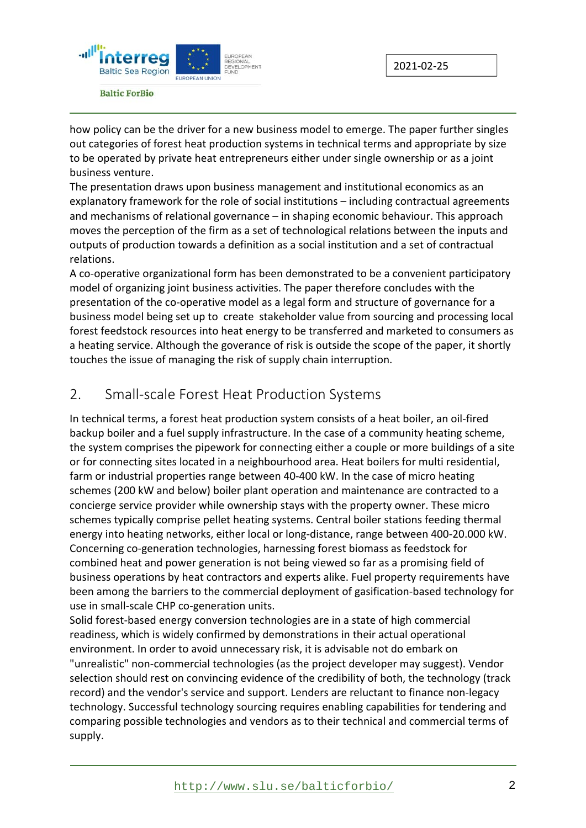

how policy can be the driver for a new business model to emerge. The paper further singles out categories of forest heat production systems in technical terms and appropriate by size to be operated by private heat entrepreneurs either under single ownership or as a joint business venture.

The presentation draws upon business management and institutional economics as an explanatory framework for the role of social institutions – including contractual agreements and mechanisms of relational governance – in shaping economic behaviour. This approach moves the perception of the firm as a set of technological relations between the inputs and outputs of production towards a definition as a social institution and a set of contractual relations.

A co-operative organizational form has been demonstrated to be a convenient participatory model of organizing joint business activities. The paper therefore concludes with the presentation of the co-operative model as a legal form and structure of governance for a business model being set up to create stakeholder value from sourcing and processing local forest feedstock resources into heat energy to be transferred and marketed to consumers as a heating service. Although the goverance of risk is outside the scope of the paper, it shortly touches the issue of managing the risk of supply chain interruption.

#### 2. Small-scale Forest Heat Production Systems

In technical terms, a forest heat production system consists of a heat boiler, an oil‐fired backup boiler and a fuel supply infrastructure. In the case of a community heating scheme, the system comprises the pipework for connecting either a couple or more buildings of a site or for connecting sites located in a neighbourhood area. Heat boilers for multi residential, farm or industrial properties range between 40‐400 kW. In the case of micro heating schemes (200 kW and below) boiler plant operation and maintenance are contracted to a concierge service provider while ownership stays with the property owner. These micro schemes typically comprise pellet heating systems. Central boiler stations feeding thermal energy into heating networks, either local or long‐distance, range between 400‐20.000 kW. Concerning co‐generation technologies, harnessing forest biomass as feedstock for combined heat and power generation is not being viewed so far as a promising field of business operations by heat contractors and experts alike. Fuel property requirements have been among the barriers to the commercial deployment of gasification‐based technology for use in small‐scale CHP co‐generation units.

Solid forest‐based energy conversion technologies are in a state of high commercial readiness, which is widely confirmed by demonstrations in their actual operational environment. In order to avoid unnecessary risk, it is advisable not do embark on "unrealistic" non‐commercial technologies (as the project developer may suggest). Vendor selection should rest on convincing evidence of the credibility of both, the technology (track record) and the vendor's service and support. Lenders are reluctant to finance non‐legacy technology. Successful technology sourcing requires enabling capabilities for tendering and comparing possible technologies and vendors as to their technical and commercial terms of supply.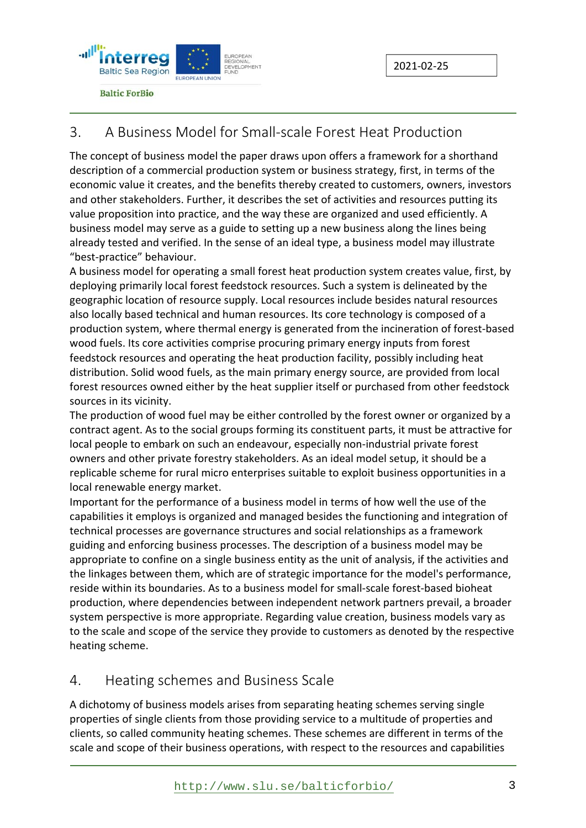

#### 3. A Business Model for Small-scale Forest Heat Production

The concept of business model the paper draws upon offers a framework for a shorthand description of a commercial production system or business strategy, first, in terms of the economic value it creates, and the benefits thereby created to customers, owners, investors and other stakeholders. Further, it describes the set of activities and resources putting its value proposition into practice, and the way these are organized and used efficiently. A business model may serve as a guide to setting up a new business along the lines being already tested and verified. In the sense of an ideal type, a business model may illustrate "best‐practice" behaviour.

A business model for operating a small forest heat production system creates value, first, by deploying primarily local forest feedstock resources. Such a system is delineated by the geographic location of resource supply. Local resources include besides natural resources also locally based technical and human resources. Its core technology is composed of a production system, where thermal energy is generated from the incineration of forest‐based wood fuels. Its core activities comprise procuring primary energy inputs from forest feedstock resources and operating the heat production facility, possibly including heat distribution. Solid wood fuels, as the main primary energy source, are provided from local forest resources owned either by the heat supplier itself or purchased from other feedstock sources in its vicinity.

The production of wood fuel may be either controlled by the forest owner or organized by a contract agent. As to the social groups forming its constituent parts, it must be attractive for local people to embark on such an endeavour, especially non-industrial private forest owners and other private forestry stakeholders. As an ideal model setup, it should be a replicable scheme for rural micro enterprises suitable to exploit business opportunities in a local renewable energy market.

Important for the performance of a business model in terms of how well the use of the capabilities it employs is organized and managed besides the functioning and integration of technical processes are governance structures and social relationships as a framework guiding and enforcing business processes. The description of a business model may be appropriate to confine on a single business entity as the unit of analysis, if the activities and the linkages between them, which are of strategic importance for the model's performance, reside within its boundaries. As to a business model for small‐scale forest‐based bioheat production, where dependencies between independent network partners prevail, a broader system perspective is more appropriate. Regarding value creation, business models vary as to the scale and scope of the service they provide to customers as denoted by the respective heating scheme.

#### 4. Heating schemes and Business Scale

A dichotomy of business models arises from separating heating schemes serving single properties of single clients from those providing service to a multitude of properties and clients, so called community heating schemes. These schemes are different in terms of the scale and scope of their business operations, with respect to the resources and capabilities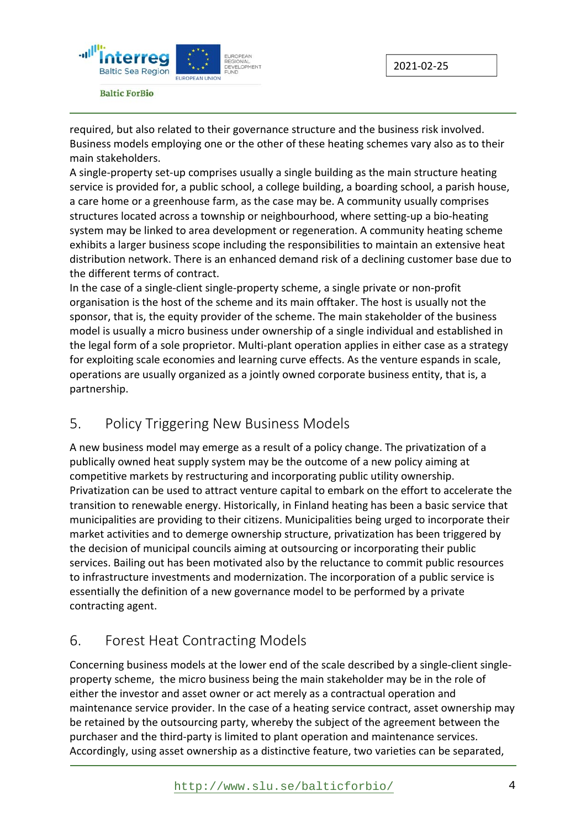



required, but also related to their governance structure and the business risk involved. Business models employing one or the other of these heating schemes vary also as to their main stakeholders.

A single‐property set‐up comprises usually a single building as the main structure heating service is provided for, a public school, a college building, a boarding school, a parish house, a care home or a greenhouse farm, as the case may be. A community usually comprises structures located across a township or neighbourhood, where setting‐up a bio‐heating system may be linked to area development or regeneration. A community heating scheme exhibits a larger business scope including the responsibilities to maintain an extensive heat distribution network. There is an enhanced demand risk of a declining customer base due to the different terms of contract.

In the case of a single‐client single‐property scheme, a single private or non‐profit organisation is the host of the scheme and its main offtaker. The host is usually not the sponsor, that is, the equity provider of the scheme. The main stakeholder of the business model is usually a micro business under ownership of a single individual and established in the legal form of a sole proprietor. Multi-plant operation applies in either case as a strategy for exploiting scale economies and learning curve effects. As the venture espands in scale, operations are usually organized as a jointly owned corporate business entity, that is, a partnership.

#### 5. Policy Triggering New Business Models

A new business model may emerge as a result of a policy change. The privatization of a publically owned heat supply system may be the outcome of a new policy aiming at competitive markets by restructuring and incorporating public utility ownership. Privatization can be used to attract venture capital to embark on the effort to accelerate the transition to renewable energy. Historically, in Finland heating has been a basic service that municipalities are providing to their citizens. Municipalities being urged to incorporate their market activities and to demerge ownership structure, privatization has been triggered by the decision of municipal councils aiming at outsourcing or incorporating their public services. Bailing out has been motivated also by the reluctance to commit public resources to infrastructure investments and modernization. The incorporation of a public service is essentially the definition of a new governance model to be performed by a private contracting agent.

## 6. Forest Heat Contracting Models

Concerning business models at the lower end of the scale described by a single‐client single‐ property scheme,the micro business being the main stakeholder may be in the role of either the investor and asset owner or act merely as a contractual operation and maintenance service provider. In the case of a heating service contract, asset ownership may be retained by the outsourcing party, whereby the subject of the agreement between the purchaser and the third‐party is limited to plant operation and maintenance services. Accordingly, using asset ownership as a distinctive feature, two varieties can be separated,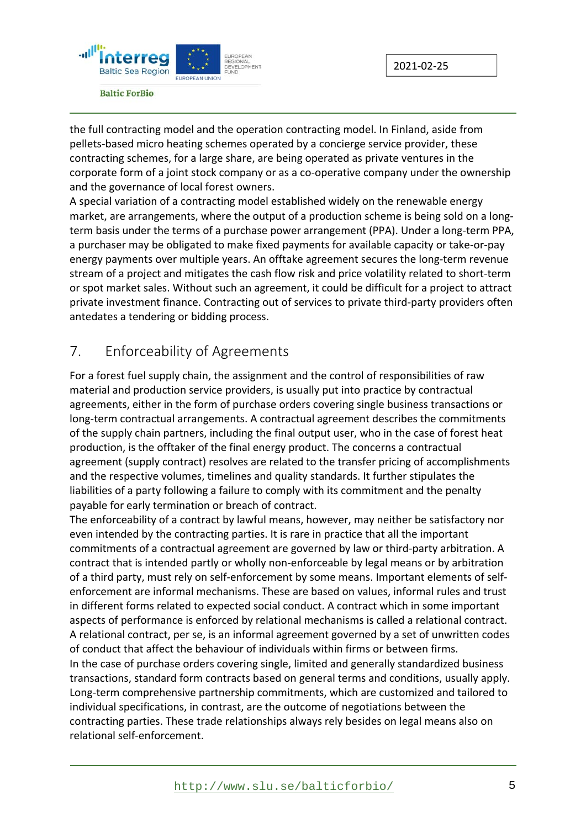

the full contracting model and the operation contracting model. In Finland, aside from pellets‐based micro heating schemes operated by a concierge service provider, these contracting schemes, for a large share, are being operated as private ventures in the corporate form of a joint stock company or as a co-operative company under the ownership and the governance of local forest owners.

A special variation of a contracting model established widely on the renewable energy market, are arrangements, where the output of a production scheme is being sold on a long‐ term basis under the terms of a purchase power arrangement (PPA). Under a long‐term PPA, a purchaser may be obligated to make fixed payments for available capacity or take‐or‐pay energy payments over multiple years. An offtake agreement secures the long-term revenue stream of a project and mitigates the cash flow risk and price volatility related to short‐term or spot market sales. Without such an agreement, it could be difficult for a project to attract private investment finance. Contracting out of services to private third‐party providers often antedates a tendering or bidding process.

## 7. Enforceability of Agreements

For a forest fuel supply chain, the assignment and the control of responsibilities of raw material and production service providers, is usually put into practice by contractual agreements, either in the form of purchase orders covering single business transactions or long‐term contractual arrangements. A contractual agreement describes the commitments of the supply chain partners, including the final output user, who in the case of forest heat production, is the offtaker of the final energy product. The concerns a contractual agreement (supply contract) resolves are related to the transfer pricing of accomplishments and the respective volumes, timelines and quality standards. It further stipulates the liabilities of a party following a failure to comply with its commitment and the penalty payable for early termination or breach of contract.

The enforceability of a contract by lawful means, however, may neither be satisfactory nor even intended by the contracting parties. It is rare in practice that all the important commitments of a contractual agreement are governed by law or third‐party arbitration. A contract that is intended partly or wholly non‐enforceable by legal means or by arbitration of a third party, must rely on self‐enforcement by some means. Important elements of self‐ enforcement are informal mechanisms. These are based on values, informal rules and trust in different forms related to expected social conduct. A contract which in some important aspects of performance is enforced by relational mechanisms is called a relational contract. A relational contract, per se, is an informal agreement governed by a set of unwritten codes of conduct that affect the behaviour of individuals within firms or between firms. In the case of purchase orders covering single, limited and generally standardized business transactions, standard form contracts based on general terms and conditions, usually apply. Long‐term comprehensive partnership commitments, which are customized and tailored to individual specifications, in contrast, are the outcome of negotiations between the contracting parties. These trade relationships always rely besides on legal means also on relational self‐enforcement.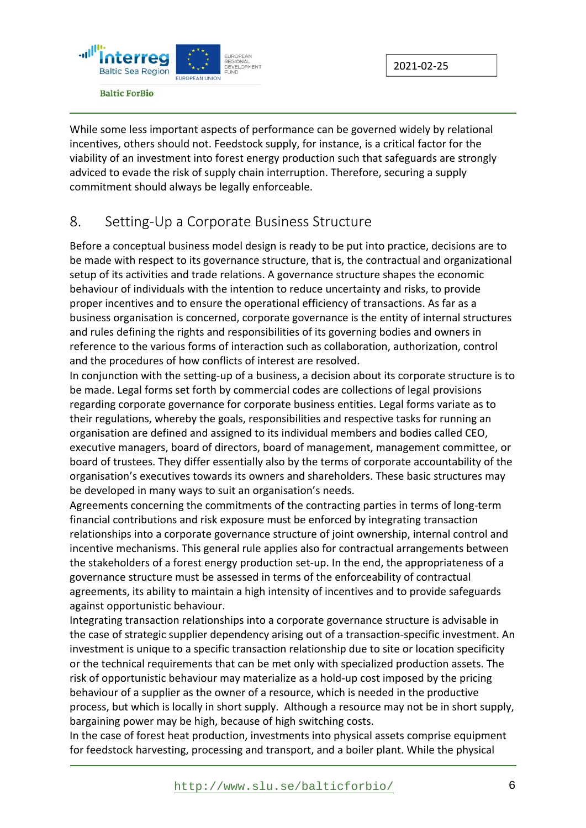

While some less important aspects of performance can be governed widely by relational incentives, others should not. Feedstock supply, for instance, is a critical factor for the viability of an investment into forest energy production such that safeguards are strongly adviced to evade the risk of supply chain interruption. Therefore, securing a supply commitment should always be legally enforceable.

#### 8. Setting-Up a Corporate Business Structure

Before a conceptual business model design is ready to be put into practice, decisions are to be made with respect to its governance structure, that is, the contractual and organizational setup of its activities and trade relations. A governance structure shapes the economic behaviour of individuals with the intention to reduce uncertainty and risks, to provide proper incentives and to ensure the operational efficiency of transactions. As far as a business organisation is concerned, corporate governance is the entity of internal structures and rules defining the rights and responsibilities of its governing bodies and owners in reference to the various forms of interaction such as collaboration, authorization, control and the procedures of how conflicts of interest are resolved.

In conjunction with the setting‐up of a business, a decision about its corporate structure is to be made. Legal forms set forth by commercial codes are collections of legal provisions regarding corporate governance for corporate business entities. Legal forms variate as to their regulations, whereby the goals, responsibilities and respective tasks for running an organisation are defined and assigned to its individual members and bodies called CEO, executive managers, board of directors, board of management, management committee, or board of trustees. They differ essentially also by the terms of corporate accountability of the organisation's executives towards its owners and shareholders. These basic structures may be developed in many ways to suit an organisation's needs.

Agreements concerning the commitments of the contracting parties in terms of long‐term financial contributions and risk exposure must be enforced by integrating transaction relationships into a corporate governance structure of joint ownership, internal control and incentive mechanisms. This general rule applies also for contractual arrangements between the stakeholders of a forest energy production set‐up. In the end, the appropriateness of a governance structure must be assessed in terms of the enforceability of contractual agreements, its ability to maintain a high intensity of incentives and to provide safeguards against opportunistic behaviour.

Integrating transaction relationships into a corporate governance structure is advisable in the case of strategic supplier dependency arising out of a transaction‐specific investment. An investment is unique to a specific transaction relationship due to site or location specificity or the technical requirements that can be met only with specialized production assets. The risk of opportunistic behaviour may materialize as a hold‐up cost imposed by the pricing behaviour of a supplier as the owner of a resource, which is needed in the productive process, but which is locally in short supply. Although a resource may not be in short supply, bargaining power may be high, because of high switching costs.

In the case of forest heat production, investments into physical assets comprise equipment for feedstock harvesting, processing and transport, and a boiler plant. While the physical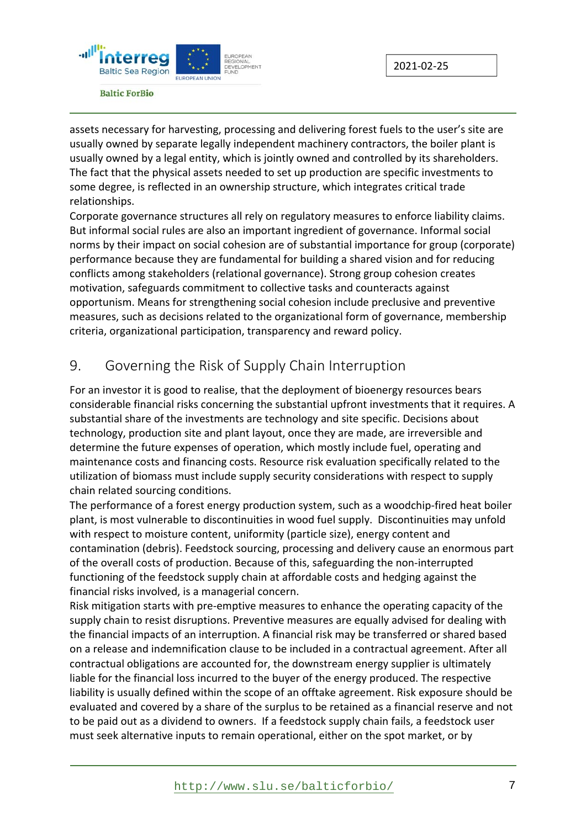

assets necessary for harvesting, processing and delivering forest fuels to the user's site are usually owned by separate legally independent machinery contractors, the boiler plant is usually owned by a legal entity, which is jointly owned and controlled by its shareholders. The fact that the physical assets needed to set up production are specific investments to some degree, is reflected in an ownership structure, which integrates critical trade relationships.

Corporate governance structures all rely on regulatory measures to enforce liability claims. But informal social rules are also an important ingredient of governance. Informal social norms by their impact on social cohesion are of substantial importance for group (corporate) performance because they are fundamental for building a shared vision and for reducing conflicts among stakeholders (relational governance). Strong group cohesion creates motivation, safeguards commitment to collective tasks and counteracts against opportunism. Means for strengthening social cohesion include preclusive and preventive measures, such as decisions related to the organizational form of governance, membership criteria, organizational participation, transparency and reward policy.

## 9. Governing the Risk of Supply Chain Interruption

For an investor it is good to realise, that the deployment of bioenergy resources bears considerable financial risks concerning the substantial upfront investments that it requires. A substantial share of the investments are technology and site specific. Decisions about technology, production site and plant layout, once they are made, are irreversible and determine the future expenses of operation, which mostly include fuel, operating and maintenance costs and financing costs. Resource risk evaluation specifically related to the utilization of biomass must include supply security considerations with respect to supply chain related sourcing conditions.

The performance of a forest energy production system, such as a woodchip‐fired heat boiler plant, is most vulnerable to discontinuities in wood fuel supply. Discontinuities may unfold with respect to moisture content, uniformity (particle size), energy content and contamination (debris). Feedstock sourcing, processing and delivery cause an enormous part of the overall costs of production. Because of this, safeguarding the non‐interrupted functioning of the feedstock supply chain at affordable costs and hedging against the financial risks involved, is a managerial concern.

Risk mitigation starts with pre‐emptive measures to enhance the operating capacity of the supply chain to resist disruptions. Preventive measures are equally advised for dealing with the financial impacts of an interruption. A financial risk may be transferred or shared based on a release and indemnification clause to be included in a contractual agreement. After all contractual obligations are accounted for, the downstream energy supplier is ultimately liable for the financial loss incurred to the buyer of the energy produced. The respective liability is usually defined within the scope of an offtake agreement. Risk exposure should be evaluated and covered by a share of the surplus to be retained as a financial reserve and not to be paid out as a dividend to owners. If a feedstock supply chain fails, a feedstock user must seek alternative inputs to remain operational, either on the spot market, or by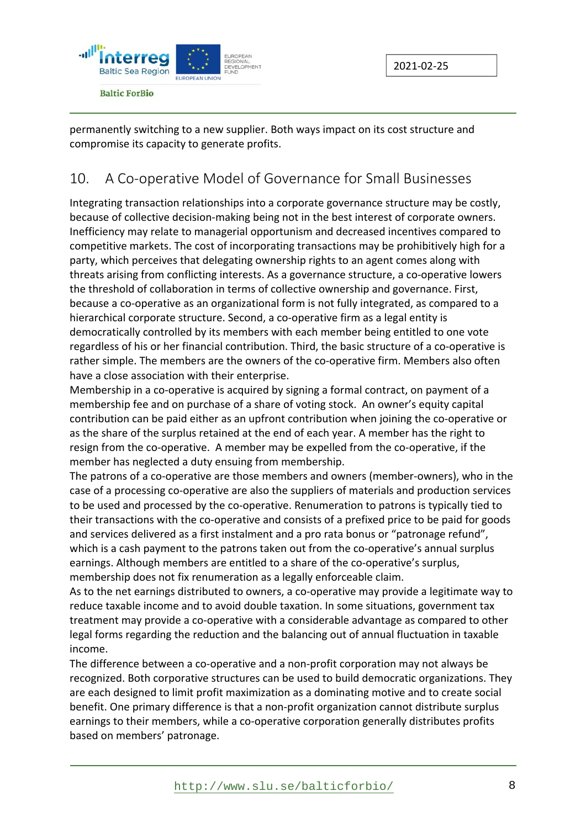

permanently switching to a new supplier. Both ways impact on its cost structure and compromise its capacity to generate profits.

## 10. A Co-operative Model of Governance for Small Businesses

Integrating transaction relationships into a corporate governance structure may be costly, because of collective decision-making being not in the best interest of corporate owners. Inefficiency may relate to managerial opportunism and decreased incentives compared to competitive markets. The cost of incorporating transactions may be prohibitively high for a party, which perceives that delegating ownership rights to an agent comes along with threats arising from conflicting interests. As a governance structure, a co‐operative lowers the threshold of collaboration in terms of collective ownership and governance. First, because a co-operative as an organizational form is not fully integrated, as compared to a hierarchical corporate structure. Second, a co-operative firm as a legal entity is democratically controlled by its members with each member being entitled to one vote regardless of his or her financial contribution. Third, the basic structure of a co-operative is rather simple. The members are the owners of the co-operative firm. Members also often have a close association with their enterprise.

Membership in a co-operative is acquired by signing a formal contract, on payment of a membership fee and on purchase of a share of voting stock. An owner's equity capital contribution can be paid either as an upfront contribution when joining the co-operative or as the share of the surplus retained at the end of each year. A member has the right to resign from the co-operative. A member may be expelled from the co-operative, if the member has neglected a duty ensuing from membership.

The patrons of a co-operative are those members and owners (member-owners), who in the case of a processing co‐operative are also the suppliers of materials and production services to be used and processed by the co‐operative. Renumeration to patrons is typically tied to their transactions with the co-operative and consists of a prefixed price to be paid for goods and services delivered as a first instalment and a pro rata bonus or "patronage refund", which is a cash payment to the patrons taken out from the co-operative's annual surplus earnings. Although members are entitled to a share of the co-operative's surplus, membership does not fix renumeration as a legally enforceable claim.

As to the net earnings distributed to owners, a co-operative may provide a legitimate way to reduce taxable income and to avoid double taxation. In some situations, government tax treatment may provide a co‐operative with a considerable advantage as compared to other legal forms regarding the reduction and the balancing out of annual fluctuation in taxable income.

The difference between a co-operative and a non-profit corporation may not always be recognized. Both corporative structures can be used to build democratic organizations. They are each designed to limit profit maximization as a dominating motive and to create social benefit. One primary difference is that a non-profit organization cannot distribute surplus earnings to their members, while a co-operative corporation generally distributes profits based on members' patronage.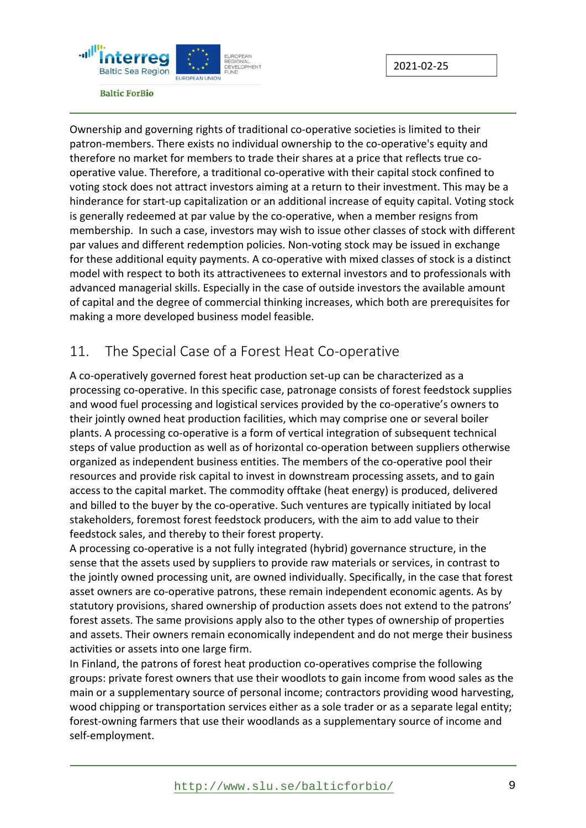

**Baltic ForBio** 

Ownership and governing rights of traditional co‐operative societies is limited to their patron-members. There exists no individual ownership to the co-operative's equity and therefore no market for members to trade their shares at a price that reflects true co‐ operative value. Therefore, a traditional co‐operative with their capital stock confined to voting stock does not attract investors aiming at a return to their investment. This may be a hinderance for start‐up capitalization or an additional increase of equity capital. Voting stock is generally redeemed at par value by the co-operative, when a member resigns from membership. In such a case, investors may wish to issue other classes of stock with different par values and different redemption policies. Non‐voting stock may be issued in exchange for these additional equity payments. A co-operative with mixed classes of stock is a distinct model with respect to both its attractivenees to external investors and to professionals with advanced managerial skills. Especially in the case of outside investors the available amount of capital and the degree of commercial thinking increases, which both are prerequisites for making a more developed business model feasible.

#### 11. The Special Case of a Forest Heat Co-operative

A co-operatively governed forest heat production set-up can be characterized as a processing co‐operative. In this specific case, patronage consists of forest feedstock supplies and wood fuel processing and logistical services provided by the co-operative's owners to their jointly owned heat production facilities, which may comprise one or several boiler plants. A processing co‐operative is a form of vertical integration of subsequent technical steps of value production as well as of horizontal co-operation between suppliers otherwise organized as independent business entities. The members of the co-operative pool their resources and provide risk capital to invest in downstream processing assets, and to gain access to the capital market. The commodity offtake (heat energy) is produced, delivered and billed to the buyer by the co-operative. Such ventures are typically initiated by local stakeholders, foremost forest feedstock producers, with the aim to add value to their feedstock sales, and thereby to their forest property.

A processing co‐operative is a not fully integrated (hybrid) governance structure, in the sense that the assets used by suppliers to provide raw materials or services, in contrast to the jointly owned processing unit, are owned individually. Specifically, in the case that forest asset owners are co-operative patrons, these remain independent economic agents. As by statutory provisions, shared ownership of production assets does not extend to the patrons' forest assets. The same provisions apply also to the other types of ownership of properties and assets. Their owners remain economically independent and do not merge their business activities or assets into one large firm.

In Finland, the patrons of forest heat production co-operatives comprise the following groups: private forest owners that use their woodlots to gain income from wood sales as the main or a supplementary source of personal income; contractors providing wood harvesting, wood chipping or transportation services either as a sole trader or as a separate legal entity; forest-owning farmers that use their woodlands as a supplementary source of income and self‐employment.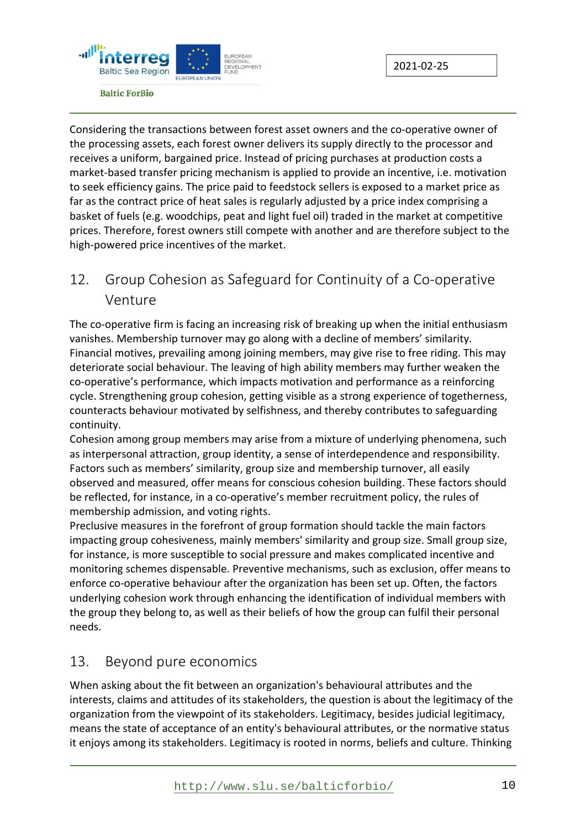



Considering the transactions between forest asset owners and the co‐operative owner of the processing assets, each forest owner delivers its supply directly to the processor and receives a uniform, bargained price. Instead of pricing purchases at production costs a market‐based transfer pricing mechanism is applied to provide an incentive, i.e. motivation to seek efficiency gains. The price paid to feedstock sellers is exposed to a market price as far as the contract price of heat sales is regularly adjusted by a price index comprising a basket of fuels (e.g. woodchips, peat and light fuel oil) traded in the market at competitive prices. Therefore, forest owners still compete with another and are therefore subject to the high-powered price incentives of the market.

## 12. Group Cohesion as Safeguard for Continuity of a Co-operative Venture

The co-operative firm is facing an increasing risk of breaking up when the initial enthusiasm vanishes. Membership turnover may go along with a decline of members' similarity. Financial motives, prevailing among joining members, may give rise to free riding. This may deteriorate social behaviour. The leaving of high ability members may further weaken the co‐operative's performance, which impacts motivation and performance as a reinforcing cycle. Strengthening group cohesion, getting visible as a strong experience of togetherness, counteracts behaviour motivated by selfishness, and thereby contributes to safeguarding continuity.

Cohesion among group members may arise from a mixture of underlying phenomena, such as interpersonal attraction, group identity, a sense of interdependence and responsibility. Factors such as members' similarity, group size and membership turnover, all easily observed and measured, offer means for conscious cohesion building. These factors should be reflected, for instance, in a co-operative's member recruitment policy, the rules of membership admission, and voting rights.

Preclusive measures in the forefront of group formation should tackle the main factors impacting group cohesiveness, mainly members' similarity and group size. Small group size, for instance, is more susceptible to social pressure and makes complicated incentive and monitoring schemes dispensable. Preventive mechanisms, such as exclusion, offer means to enforce co-operative behaviour after the organization has been set up. Often, the factors underlying cohesion work through enhancing the identification of individual members with the group they belong to, as well as their beliefs of how the group can fulfil their personal needs.

#### 13. Beyond pure economics

When asking about the fit between an organization's behavioural attributes and the interests, claims and attitudes of its stakeholders, the question is about the legitimacy of the organization from the viewpoint of its stakeholders. Legitimacy, besides judicial legitimacy, means the state of acceptance of an entity's behavioural attributes, or the normative status it enjoys among its stakeholders. Legitimacy is rooted in norms, beliefs and culture. Thinking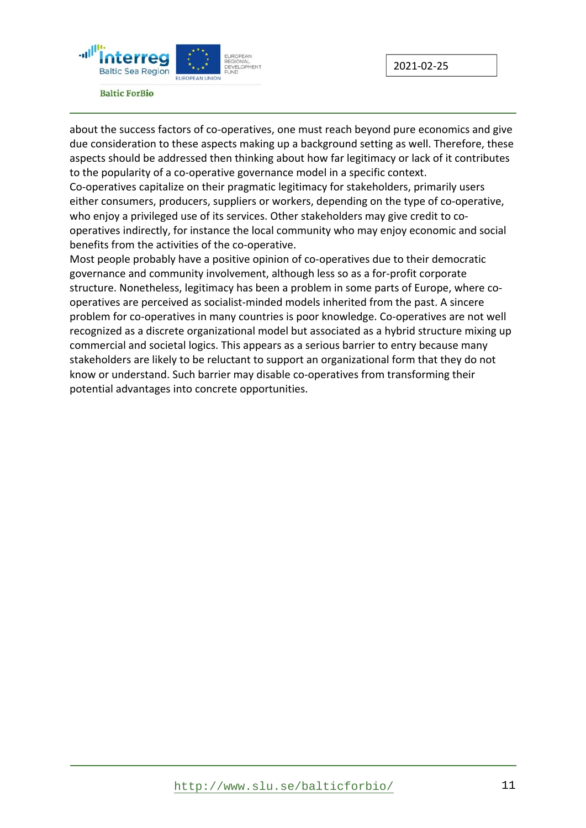

2021‐02‐25

about the success factors of co‐operatives, one must reach beyond pure economics and give due consideration to these aspects making up a background setting as well. Therefore, these aspects should be addressed then thinking about how far legitimacy or lack of it contributes to the popularity of a co‐operative governance model in a specific context.

Co-operatives capitalize on their pragmatic legitimacy for stakeholders, primarily users either consumers, producers, suppliers or workers, depending on the type of co‐operative, who enjoy a privileged use of its services. Other stakeholders may give credit to cooperatives indirectly, for instance the local community who may enjoy economic and social benefits from the activities of the co-operative.

Most people probably have a positive opinion of co-operatives due to their democratic governance and community involvement, although less so as a for‐profit corporate structure. Nonetheless, legitimacy has been a problem in some parts of Europe, where co‐ operatives are perceived as socialist‐minded models inherited from the past. A sincere problem for co-operatives in many countries is poor knowledge. Co-operatives are not well recognized as a discrete organizational model but associated as a hybrid structure mixing up commercial and societal logics. This appears as a serious barrier to entry because many stakeholders are likely to be reluctant to support an organizational form that they do not know or understand. Such barrier may disable co-operatives from transforming their potential advantages into concrete opportunities.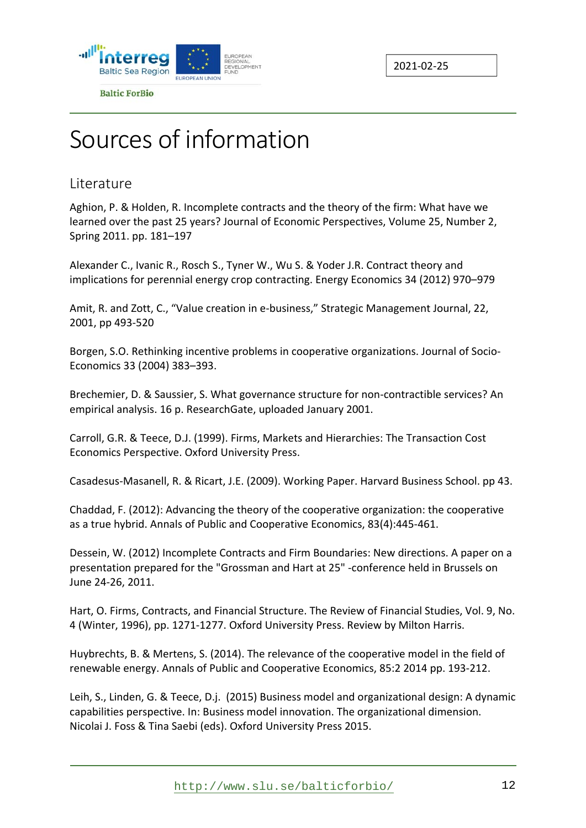



## Sources of information

#### **Literature**

Aghion, P. & Holden, R. Incomplete contracts and the theory of the firm: What have we learned over the past 25 years? Journal of Economic Perspectives, Volume 25, Number 2, Spring 2011. pp. 181–197

Alexander C., Ivanic R., Rosch S., Tyner W., Wu S. & Yoder J.R. Contract theory and implications for perennial energy crop contracting. Energy Economics 34 (2012) 970–979

Amit, R. and Zott, C., "Value creation in e‐business," Strategic Management Journal, 22, 2001, pp 493‐520

Borgen, S.O. Rethinking incentive problems in cooperative organizations. Journal of Socio‐ Economics 33 (2004) 383–393.

Brechemier, D. & Saussier, S. What governance structure for non‐contractible services? An empirical analysis. 16 p. ResearchGate, uploaded January 2001.

Carroll, G.R. & Teece, D.J. (1999). Firms, Markets and Hierarchies: The Transaction Cost Economics Perspective. Oxford University Press.

Casadesus‐Masanell, R. & Ricart, J.E. (2009). Working Paper. Harvard Business School. pp 43.

Chaddad, F. (2012): Advancing the theory of the cooperative organization: the cooperative as a true hybrid. Annals of Public and Cooperative Economics, 83(4):445‐461.

Dessein, W. (2012) Incomplete Contracts and Firm Boundaries: New directions. A paper on a presentation prepared for the "Grossman and Hart at 25" ‐conference held in Brussels on June 24‐26, 2011.

Hart, O. Firms, Contracts, and Financial Structure. The Review of Financial Studies, Vol. 9, No. 4 (Winter, 1996), pp. 1271‐1277. Oxford University Press. Review by Milton Harris.

Huybrechts, B. & Mertens, S. (2014). The relevance of the cooperative model in the field of renewable energy. Annals of Public and Cooperative Economics, 85:2 2014 pp. 193‐212.

Leih, S., Linden, G. & Teece, D.j. (2015) Business model and organizational design: A dynamic capabilities perspective. In: Business model innovation. The organizational dimension. Nicolai J. Foss & Tina Saebi (eds). Oxford University Press 2015.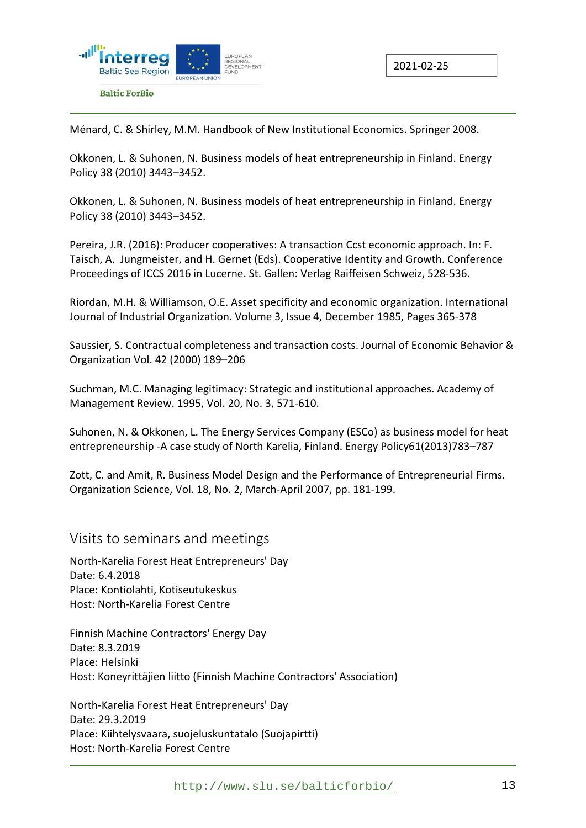

Ménard, C. & Shirley, M.M. Handbook of New Institutional Economics. Springer 2008.

Okkonen, L. & Suhonen, N. Business models of heat entrepreneurship in Finland. Energy Policy 38 (2010) 3443–3452.

Okkonen, L. & Suhonen, N. Business models of heat entrepreneurship in Finland. Energy Policy 38 (2010) 3443–3452.

Pereira, J.R. (2016): Producer cooperatives: A transaction Ccst economic approach. In: F. Taisch, A. Jungmeister, and H. Gernet (Eds). Cooperative Identity and Growth. Conference Proceedings of ICCS 2016 in Lucerne. St. Gallen: Verlag Raiffeisen Schweiz, 528‐536.

Riordan, M.H. & Williamson, O.E. Asset specificity and economic organization. International Journal of Industrial Organization. Volume 3, Issue 4, December 1985, Pages 365‐378

Saussier, S. Contractual completeness and transaction costs. Journal of Economic Behavior & Organization Vol. 42 (2000) 189–206

Suchman, M.C. Managing legitimacy: Strategic and institutional approaches. Academy of Management Review. 1995, Vol. 20, No. 3, 571‐610.

Suhonen, N. & Okkonen, L. The Energy Services Company (ESCo) as business model for heat entrepreneurship ‐A case study of North Karelia, Finland. Energy Policy61(2013)783–787

Zott, C. and Amit, R. Business Model Design and the Performance of Entrepreneurial Firms. Organization Science, Vol. 18, No. 2, March‐April 2007, pp. 181‐199.

Visits to seminars and meetings

North‐Karelia Forest Heat Entrepreneurs' Day Date: 6.4.2018 Place: Kontiolahti, Kotiseutukeskus Host: North‐Karelia Forest Centre

Finnish Machine Contractors' Energy Day Date: 8.3.2019 Place: Helsinki Host: Koneyrittäjien liitto (Finnish Machine Contractors' Association)

North‐Karelia Forest Heat Entrepreneurs' Day Date: 29.3.2019 Place: Kiihtelysvaara, suojeluskuntatalo (Suojapirtti) Host: North‐Karelia Forest Centre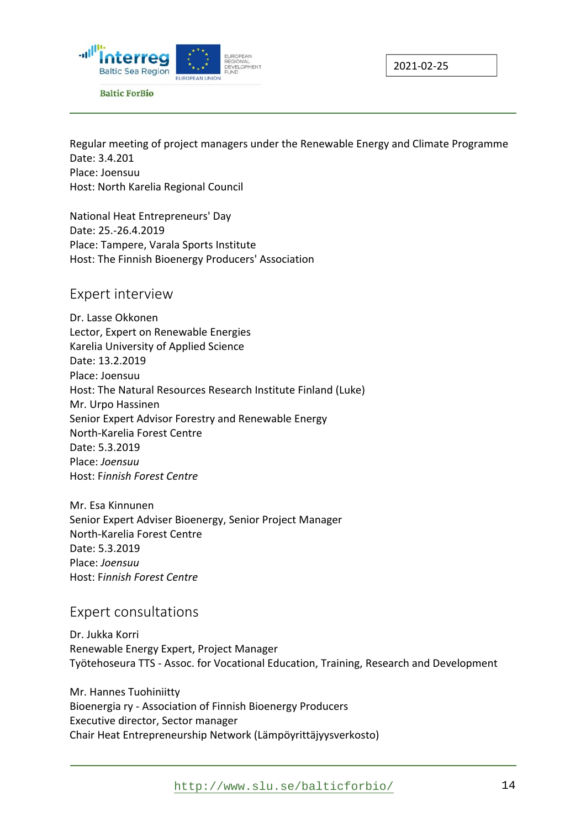



Regular meeting of project managers under the Renewable Energy and Climate Programme Date: 3.4.201 Place: Joensuu Host: North Karelia Regional Council

National Heat Entrepreneurs' Day Date: 25.‐26.4.2019 Place: Tampere, Varala Sports Institute Host: The Finnish Bioenergy Producers' Association

#### Expert interview

Dr. Lasse Okkonen Lector, Expert on Renewable Energies Karelia University of Applied Science Date: 13.2.2019 Place: Joensuu Host: The Natural Resources Research Institute Finland (Luke) Mr. Urpo Hassinen Senior Expert Advisor Forestry and Renewable Energy North‐Karelia Forest Centre Date: 5.3.2019 Place: *Joensuu*  Host: F*innish Forest Centre* 

Mr. Esa Kinnunen Senior Expert Adviser Bioenergy, Senior Project Manager North‐Karelia Forest Centre Date: 5.3.2019 Place: *Joensuu*  Host: F*innish Forest Centre*

#### Expert consultations

Dr. Jukka Korri Renewable Energy Expert, Project Manager Työtehoseura TTS ‐ Assoc. for Vocational Education, Training, Research and Development

Mr. Hannes Tuohiniitty Bioenergia ry ‐ Association of Finnish Bioenergy Producers Executive director, Sector manager Chair Heat Entrepreneurship Network (Lämpöyrittäjyysverkosto)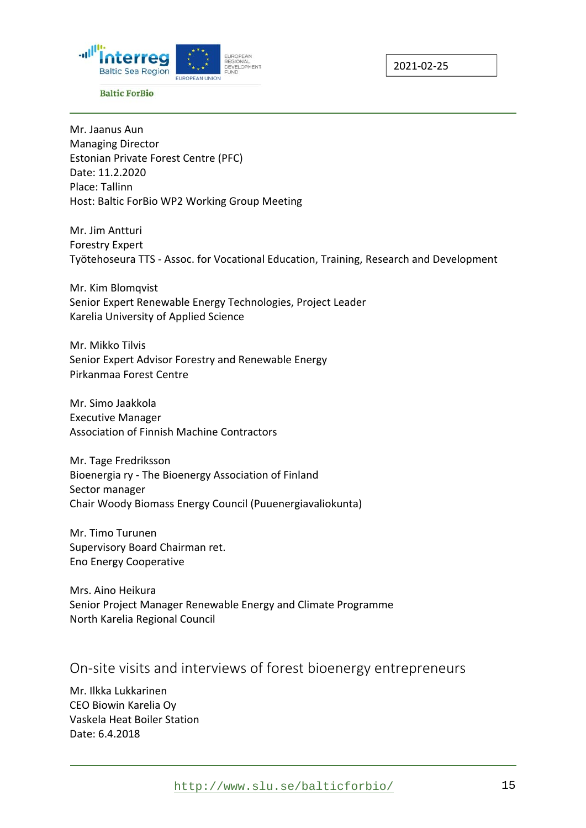



Mr. Jaanus Aun Managing Director Estonian Private Forest Centre (PFC) Date: 11.2.2020 Place: Tallinn Host: Baltic ForBio WP2 Working Group Meeting

Mr. Jim Antturi Forestry Expert Työtehoseura TTS ‐ Assoc. for Vocational Education, Training, Research and Development

Mr. Kim Blomqvist Senior Expert Renewable Energy Technologies, Project Leader Karelia University of Applied Science

Mr. Mikko Tilvis Senior Expert Advisor Forestry and Renewable Energy Pirkanmaa Forest Centre

Mr. Simo Jaakkola Executive Manager Association of Finnish Machine Contractors

Mr. Tage Fredriksson Bioenergia ry ‐ The Bioenergy Association of Finland Sector manager Chair Woody Biomass Energy Council (Puuenergiavaliokunta)

Mr. Timo Turunen Supervisory Board Chairman ret. Eno Energy Cooperative

Mrs. Aino Heikura Senior Project Manager Renewable Energy and Climate Programme North Karelia Regional Council

#### On-site visits and interviews of forest bioenergy entrepreneurs

Mr. Ilkka Lukkarinen CEO Biowin Karelia Oy Vaskela Heat Boiler Station Date: 6.4.2018